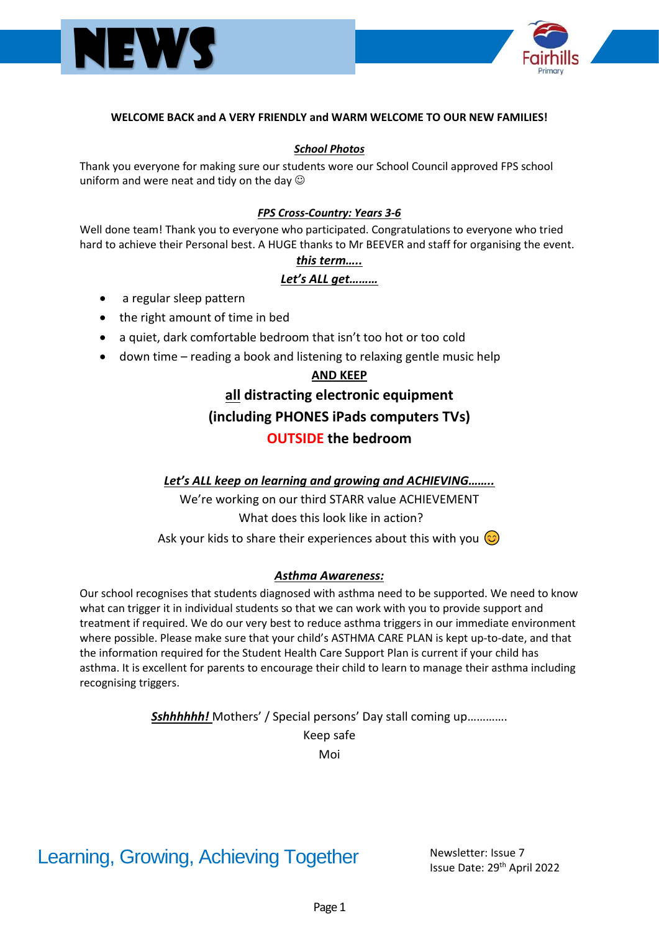



### **WELCOME BACK and A VERY FRIENDLY and WARM WELCOME TO OUR NEW FAMILIES!**

### *School Photos*

Thank you everyone for making sure our students wore our School Council approved FPS school uniform and were neat and tidy on the day  $\odot$ 

### *FPS Cross-Country: Years 3-6*

Well done team! Thank you to everyone who participated. Congratulations to everyone who tried hard to achieve their Personal best. A HUGE thanks to Mr BEEVER and staff for organising the event.

### *this term…..*

### *Let's ALL get………*

- a regular sleep pattern
- the right amount of time in bed
- a quiet, dark comfortable bedroom that isn't too hot or too cold
- down time reading a book and listening to relaxing gentle music help

### **AND KEEP all distracting electronic equipment (including PHONES iPads computers TVs) OUTSIDE the bedroom**

### *Let's ALL keep on learning and growing and ACHIEVING……..*

We're working on our third STARR value ACHIEVEMENT What does this look like in action? Ask your kids to share their experiences about this with you  $\odot$ 

### *Asthma Awareness:*

Our school recognises that students diagnosed with asthma need to be supported. We need to know what can trigger it in individual students so that we can work with you to provide support and treatment if required. We do our very best to reduce asthma triggers in our immediate environment where possible. Please make sure that your child's ASTHMA CARE PLAN is kept up-to-date, and that the information required for the Student Health Care Support Plan is current if your child has asthma. It is excellent for parents to encourage their child to learn to manage their asthma including recognising triggers.

> *Sshhhhhh!* Mothers' / Special persons' Day stall coming up…………. Keep safe Moi

### Learning, Growing, Achieving Together Newsletter: Issue 7

Issue Date: 29th April 2022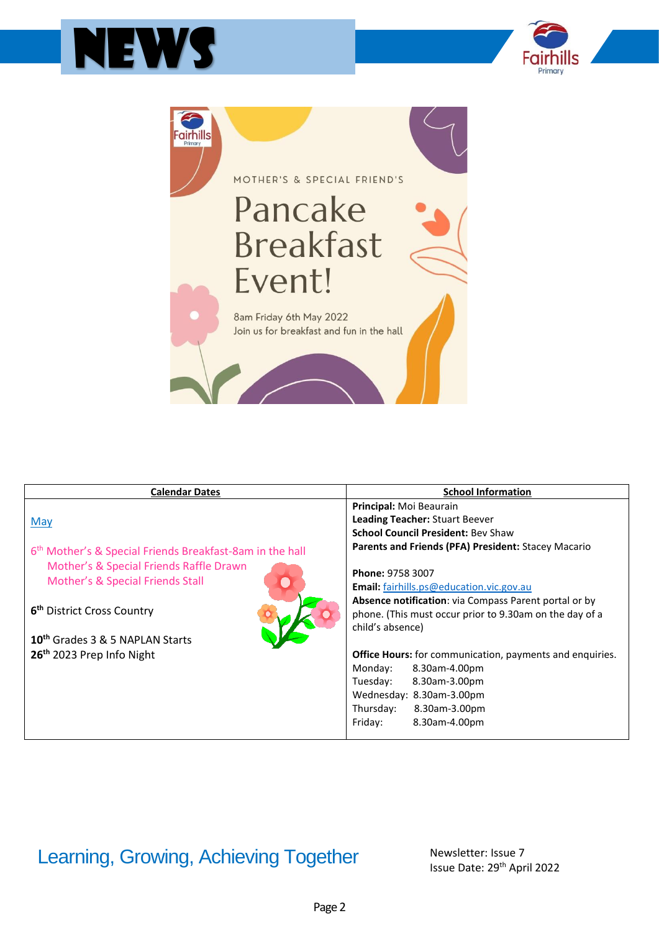





| <b>Calendar Dates</b>                                                | <b>School Information</b>                                       |
|----------------------------------------------------------------------|-----------------------------------------------------------------|
|                                                                      | Principal: Moi Beaurain                                         |
| <b>May</b>                                                           | Leading Teacher: Stuart Beever                                  |
|                                                                      | <b>School Council President: Bey Shaw</b>                       |
| 6 <sup>th</sup> Mother's & Special Friends Breakfast-8am in the hall | Parents and Friends (PFA) President: Stacey Macario             |
| Mother's & Special Friends Raffle Drawn                              | Phone: 9758 3007                                                |
| Mother's & Special Friends Stall                                     | Email: fairhills.ps@education.vic.gov.au                        |
|                                                                      | Absence notification: via Compass Parent portal or by           |
| 6 <sup>th</sup> District Cross Country                               | phone. (This must occur prior to 9.30am on the day of a         |
|                                                                      | child's absence)                                                |
| 10 <sup>th</sup> Grades 3 & 5 NAPLAN Starts                          |                                                                 |
| 26 <sup>th</sup> 2023 Prep Info Night                                | <b>Office Hours:</b> for communication, payments and enquiries. |
|                                                                      | Monday:<br>8.30am-4.00pm                                        |
|                                                                      | Tuesday:<br>8.30am-3.00pm                                       |
|                                                                      | Wednesday: 8.30am-3.00pm                                        |
|                                                                      | Thursday:<br>8.30am-3.00pm                                      |
|                                                                      | Friday:<br>8.30am-4.00pm                                        |
|                                                                      |                                                                 |

# Learning, Growing, Achieving Together Newsletter: Issue 7

Issue Date: 29th April 2022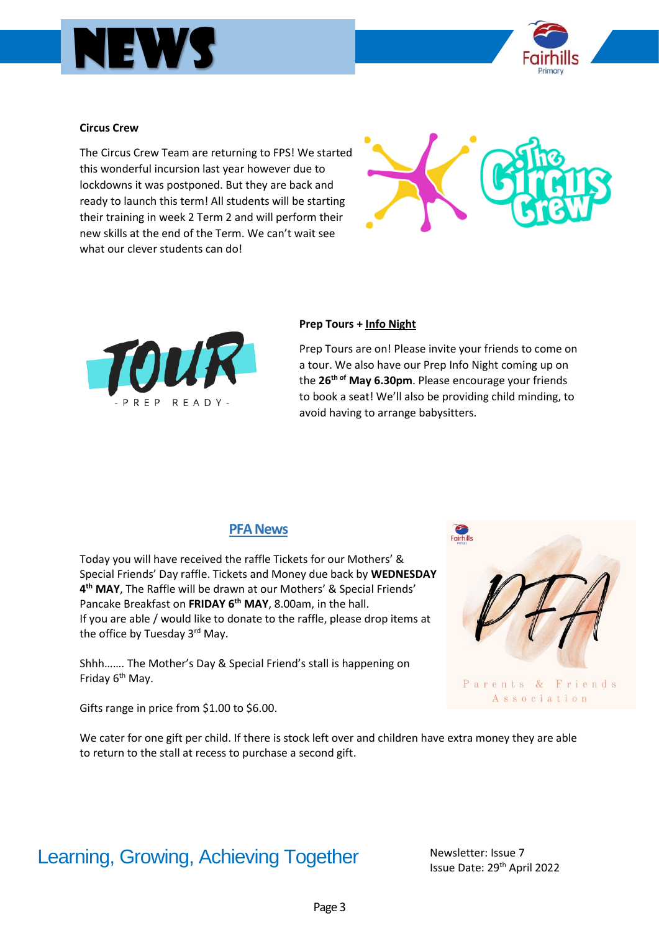



### **Circus Crew**

The Circus Crew Team are returning to FPS! We started this wonderful incursion last year however due to lockdowns it was postponed. But they are back and ready to launch this term! All students will be starting their training in week 2 Term 2 and will perform their new skills at the end of the Term. We can't wait see what our clever students can do!





#### **Prep Tours + Info Night**

Prep Tours are on! Please invite your friends to come on a tour. We also have our Prep Info Night coming up on the **26th of May 6.30pm**. Please encourage your friends to book a seat! We'll also be providing child minding, to avoid having to arrange babysitters.

### **PFA News**

Today you will have received the raffle Tickets for our Mothers' & Special Friends' Day raffle. Tickets and Money due back by **WEDNESDAY 4 th MAY**, The Raffle will be drawn at our Mothers' & Special Friends' Pancake Breakfast on **FRIDAY 6th MAY**, 8.00am, in the hall. If you are able / would like to donate to the raffle, please drop items at the office by Tuesday 3rd May.

Shhh……. The Mother's Day & Special Friend's stall is happening on Friday 6<sup>th</sup> May.

Gifts range in price from \$1.00 to \$6.00.

We cater for one gift per child. If there is stock left over and children have extra money they are able to return to the stall at recess to purchase a second gift.

# Learning, Growing, Achieving Together Newsletter: Issue 7

Issue Date: 29<sup>th</sup> April 2022



Association